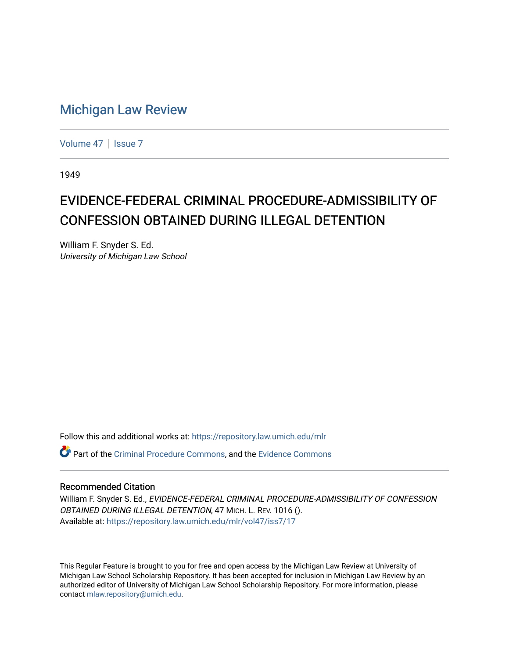## [Michigan Law Review](https://repository.law.umich.edu/mlr)

[Volume 47](https://repository.law.umich.edu/mlr/vol47) | [Issue 7](https://repository.law.umich.edu/mlr/vol47/iss7)

1949

## EVIDENCE-FEDERAL CRIMINAL PROCEDURE-ADMISSIBILITY OF CONFESSION OBTAINED DURING ILLEGAL DETENTION

William F. Snyder S. Ed. University of Michigan Law School

Follow this and additional works at: [https://repository.law.umich.edu/mlr](https://repository.law.umich.edu/mlr?utm_source=repository.law.umich.edu%2Fmlr%2Fvol47%2Fiss7%2F17&utm_medium=PDF&utm_campaign=PDFCoverPages) 

**P** Part of the [Criminal Procedure Commons,](http://network.bepress.com/hgg/discipline/1073?utm_source=repository.law.umich.edu%2Fmlr%2Fvol47%2Fiss7%2F17&utm_medium=PDF&utm_campaign=PDFCoverPages) and the [Evidence Commons](http://network.bepress.com/hgg/discipline/601?utm_source=repository.law.umich.edu%2Fmlr%2Fvol47%2Fiss7%2F17&utm_medium=PDF&utm_campaign=PDFCoverPages)

## Recommended Citation

William F. Snyder S. Ed., EVIDENCE-FEDERAL CRIMINAL PROCEDURE-ADMISSIBILITY OF CONFESSION OBTAINED DURING ILLEGAL DETENTION, 47 MICH. L. REV. 1016 (). Available at: [https://repository.law.umich.edu/mlr/vol47/iss7/17](https://repository.law.umich.edu/mlr/vol47/iss7/17?utm_source=repository.law.umich.edu%2Fmlr%2Fvol47%2Fiss7%2F17&utm_medium=PDF&utm_campaign=PDFCoverPages) 

This Regular Feature is brought to you for free and open access by the Michigan Law Review at University of Michigan Law School Scholarship Repository. It has been accepted for inclusion in Michigan Law Review by an authorized editor of University of Michigan Law School Scholarship Repository. For more information, please contact [mlaw.repository@umich.edu](mailto:mlaw.repository@umich.edu).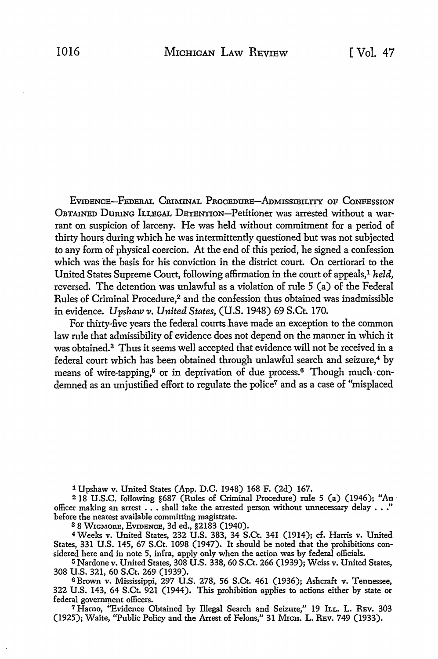EVIDENCE-FEDERAL CruMINAL PROCEDURE-ADMISSIBILITY oF CoNFEss10N OBTAINED DuruNG ILLEGAL DETENTION-Petitioner was arrested without a warrant on suspicion of larceny. He was held without commitment for a period of thirty hours during which he was intermittently questioned but was not subjected to any form of physical coercion. At the end of this period, he signed a confession which was the basis for his conviction in the district court. On certiorari to the United States Supreme Court, following affirmation in the court of appeals,1 *held,*  reversed. The detention was unlawful as a violation of rule 5 (a) of the Federal Rules of Criminal Procedure,<sup>2</sup> and the confession thus obtained was inadmissible in evidence. *Upshaw v. United States,* (U.S. 1948) 69 S.Ct. 170.

For thirty-five years the federal courts have made an exception to the common law rule that admissibility of evidence does not depend on the manner in wbich it was obtained.<sup>3</sup> Thus it seems well accepted that evidence will not be received in a federal court which has been obtained through unlawful search and seizure,<sup>4</sup> by means of wire-tapping,<sup>5</sup> or in deprivation of due process.<sup>6</sup> Though much-condemned as an unjustified effort to regulate the police7 and as a case of "misplaced

1 Upshaw v. United States (App. D.C. 1948) 168 F. (2d) 167.

<sup>2</sup>18 U.S.C. following §687 (Rules of Criminal Procedure) rule 5 (a) (1946); "An· officer making an arrest . . . shall take the arrested person without unnecessary delay . . ." before the nearest available committing magistrate.

38 WIGMORE, EVIDENCE, 3d ed., §2183 (1940).

4 Weeks v. United States, 232 U.S. 383, 34 S.Ct. 341 (1914); cf. Harris v. United States, 331 U.S. 145, 67 S.Ct. 1098 (1947). It should be noted that the prohibitions considered here and in note 5, infra, apply only when the action was by federal officials.

<sup>5</sup>Nardone v. United States, 308 U.S. 338, 60 S.Ct. 266 (1939); Weiss v. United States, 308 U.S. 321, 60 S.Ct. 269 (1939).

<sup>6</sup>Brown v. Mississippi, 297 U.S. 278, 56 S.Ct. 461 (1936); Ashcraft v. Tennessee, 322 U.S. 143, 64 S.Ct. 921 (1944). This prohibition applies to actions either by state or federal government officers.

<sup>7</sup> Harno, "Evidence Obtained by Illegal Search and Seizure," 19 ILL. L. REV. 303 (1925); Waite, "Public Policy and the Arrest of Felons," 31 MrcH. L. REV. 749 (1933).